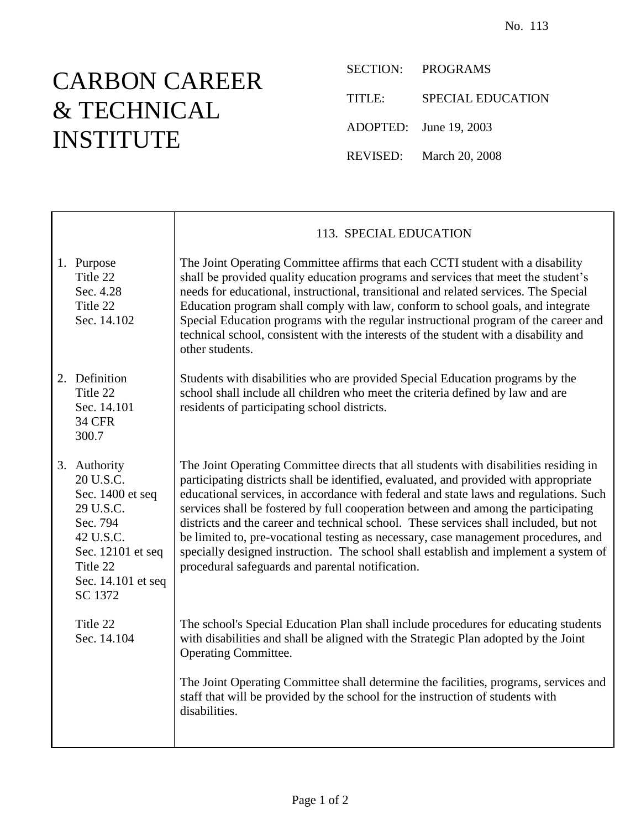## CARBON CAREER & TECHNICAL INSTITUTE

Τ

SECTION: PROGRAMS TITLE: SPECIAL EDUCATION ADOPTED: June 19, 2003 REVISED: March 20, 2008

|                                                                                                                                                       | 113. SPECIAL EDUCATION                                                                                                                                                                                                                                                                                                                                                                                                                                                                                                                                                                                                                                                                    |
|-------------------------------------------------------------------------------------------------------------------------------------------------------|-------------------------------------------------------------------------------------------------------------------------------------------------------------------------------------------------------------------------------------------------------------------------------------------------------------------------------------------------------------------------------------------------------------------------------------------------------------------------------------------------------------------------------------------------------------------------------------------------------------------------------------------------------------------------------------------|
| 1. Purpose<br>Title 22<br>Sec. 4.28<br>Title 22<br>Sec. 14.102                                                                                        | The Joint Operating Committee affirms that each CCTI student with a disability<br>shall be provided quality education programs and services that meet the student's<br>needs for educational, instructional, transitional and related services. The Special<br>Education program shall comply with law, conform to school goals, and integrate<br>Special Education programs with the regular instructional program of the career and<br>technical school, consistent with the interests of the student with a disability and<br>other students.                                                                                                                                          |
| 2. Definition<br>Title 22<br>Sec. 14.101<br><b>34 CFR</b><br>300.7                                                                                    | Students with disabilities who are provided Special Education programs by the<br>school shall include all children who meet the criteria defined by law and are<br>residents of participating school districts.                                                                                                                                                                                                                                                                                                                                                                                                                                                                           |
| 3. Authority<br>20 U.S.C.<br>Sec. 1400 et seq<br>29 U.S.C.<br>Sec. 794<br>42 U.S.C.<br>Sec. 12101 et seq<br>Title 22<br>Sec. 14.101 et seq<br>SC 1372 | The Joint Operating Committee directs that all students with disabilities residing in<br>participating districts shall be identified, evaluated, and provided with appropriate<br>educational services, in accordance with federal and state laws and regulations. Such<br>services shall be fostered by full cooperation between and among the participating<br>districts and the career and technical school. These services shall included, but not<br>be limited to, pre-vocational testing as necessary, case management procedures, and<br>specially designed instruction. The school shall establish and implement a system of<br>procedural safeguards and parental notification. |
| Title 22<br>Sec. 14.104                                                                                                                               | The school's Special Education Plan shall include procedures for educating students<br>with disabilities and shall be aligned with the Strategic Plan adopted by the Joint<br><b>Operating Committee.</b>                                                                                                                                                                                                                                                                                                                                                                                                                                                                                 |
|                                                                                                                                                       | The Joint Operating Committee shall determine the facilities, programs, services and<br>staff that will be provided by the school for the instruction of students with<br>disabilities.                                                                                                                                                                                                                                                                                                                                                                                                                                                                                                   |